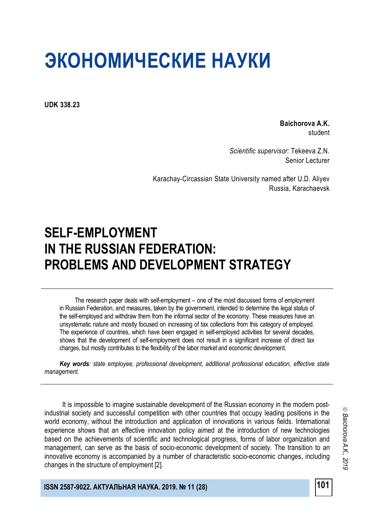**UDK 338.23**

**Baichorova A.K.** student

*Scientific supervisor:* Tekeeva Z.N. Senior Lecturer

Karachay-Circassian State University named after U.D. Aliyev Russia, Karachaevsk

# **SELF-EMPLOYMENT IN THE RUSSIAN FEDERATION: PROBLEMS AND DEVELOPMENT STRATEGY**

The research paper deals with self-employment – one of the most discussed forms of employment in Russian Federation, and measures, taken by the government, intended to determine the legal status of the self-employed and withdraw them from the informal sector of the economy. These measures have an unsystematic nature and mostly focused on increasing of tax collections from this category of employed. The experience of countries, which have been engaged in self-employed activities for several decades, shows that the development of self-employment does not result in a significant increase of direct tax charges, but mostly contributes to the flexibility of the labor market and economic development.

*Key words: state employee, professional development, additional professional education, effective state management.*

It is impossible to imagine sustainable development of the Russian economy in the modern postindustrial society and successful competition with other countries that occupy leading positions in the world economy, without the introduction and application of innovations in various fields. International experience shows that an effective innovation policy aimed at the introduction of new technologies based on the achievements of scientific and technological progress, forms of labor organization and management, can serve as the basis of socio-economic development of society. The transition to an innovative economy is accompanied by a number of characteristic socio-economic changes, including changes in the structure of employment [2].

**ISSN 2587-9022. АКТУАЛЬНАЯ НАУКА. 2019. № 11 (28) 101**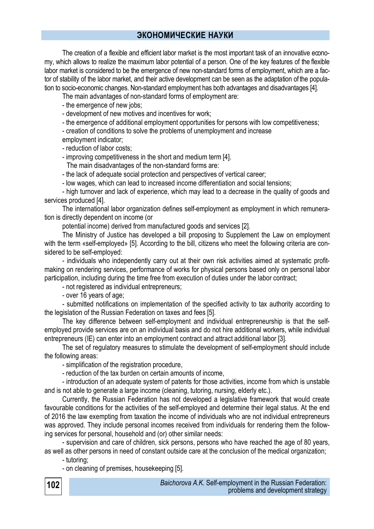The creation of a flexible and efficient labor market is the most important task of an innovative economy, which allows to realize the maximum labor potential of a person. One of the key features of the flexible labor market is considered to be the emergence of new non-standard forms of employment, which are a factor of stability of the labor market, and their active development can be seen as the adaptation of the population to socio-economic changes. Non-standard employment has both advantages and disadvantages [4].

The main advantages of non-standard forms of employment are:

- the emergence of new jobs;

- development of new motives and incentives for work;

- the emergence of additional employment opportunities for persons with low competitiveness;

- creation of conditions to solve the problems of unemployment and increase

employment indicator;

- reduction of labor costs;

- improving competitiveness in the short and medium term [4].

The main disadvantages of the non-standard forms are:

- the lack of adequate social protection and perspectives of vertical career;

- low wages, which can lead to increased income differentiation and social tensions;

- high turnover and lack of experience, which may lead to a decrease in the quality of goods and services produced [4].

The international labor organization defines self-employment as employment in which remuneration is directly dependent on income (or

potential income) derived from manufactured goods and services [2].

The Ministry of Justice has developed a bill proposing to Supplement the Law on employment with the term «self-employed» [5]. According to the bill, citizens who meet the following criteria are considered to be self-employed:

- individuals who independently carry out at their own risk activities aimed at systematic profitmaking on rendering services, performance of works for physical persons based only on personal labor participation, including during the time free from execution of duties under the labor contract;

- not registered as individual entrepreneurs;

- over 16 years of age;

- submitted notifications on implementation of the specified activity to tax authority according to the legislation of the Russian Federation on taxes and fees [5].

The key difference between self-employment and individual entrepreneurship is that the selfemployed provide services are on an individual basis and do not hire additional workers, while individual entrepreneurs (IE) can enter into an employment contract and attract additional labor [3].

The set of regulatory measures to stimulate the development of self-employment should include the following areas:

- simplification of the registration procedure,

- reduction of the tax burden on certain amounts of income,

- introduction of an adequate system of patents for those activities, income from which is unstable and is not able to generate a large income (cleaning, tutoring, nursing, elderly etc.).

Currently, the Russian Federation has not developed a legislative framework that would create favourable conditions for the activities of the self-employed and determine their legal status. At the end of 2016 the law exempting from taxation the income of individuals who are not individual entrepreneurs was approved. They include personal incomes received from individuals for rendering them the following services for personal, household and (or) other similar needs:

- supervision and care of children, sick persons, persons who have reached the age of 80 years, as well as other persons in need of constant outside care at the conclusion of the medical organization;

- tutoring;

- on cleaning of premises, housekeeping [5].

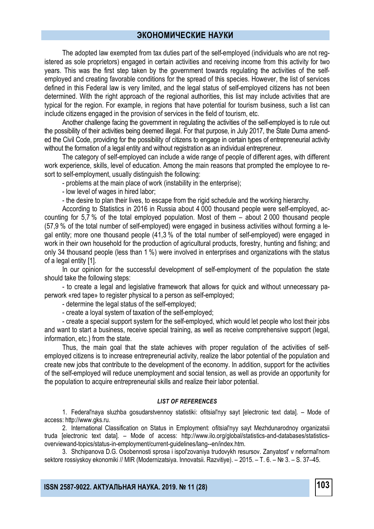The adopted law exempted from tax duties part of the self-employed (individuals who are not registered as sole proprietors) engaged in certain activities and receiving income from this activity for two years. This was the first step taken by the government towards regulating the activities of the selfemployed and creating favorable conditions for the spread of this species. However, the list of services defined in this Federal law is very limited, and the legal status of self-employed citizens has not been determined. With the right approach of the regional authorities, this list may include activities that are typical for the region. For example, in regions that have potential for tourism business, such a list can include citizens engaged in the provision of services in the field of tourism, etc.

Another challenge facing the government in regulating the activities of the self-employed is to rule out the possibility of their activities being deemed illegal. For that purpose, in July 2017, the State Duma amended the Civil Code, providing for the possibility of citizens to engage in certain types of entrepreneurial activity without the formation of a legal entity and without registration as an individual entrepreneur.

The category of self-employed can include a wide range of people of different ages, with different work experience, skills, level of education. Among the main reasons that prompted the employee to resort to self-employment, usually distinguish the following:

- problems at the main place of work (instability in the enterprise);

- low level of wages in hired labor;

- the desire to plan their lives, to escape from the rigid schedule and the working hierarchy.

According to Statistics in 2016 in Russia about 4 000 thousand people were self-employed, accounting for 5,7 % of the total employed population. Most of them – about 2 000 thousand people (57,9 % of the total number of self-employed) were engaged in business activities without forming a legal entity; more one thousand people (41,3 % of the total number of self-employed) were engaged in work in their own household for the production of agricultural products, forestry, hunting and fishing; and only 34 thousand people (less than 1 %) were involved in enterprises and organizations with the status of a legal entity [1].

In our opinion for the successful development of self-employment of the population the state should take the following steps:

- to create a legal and legislative framework that allows for quick and without unnecessary paperwork «red tape» to register physical to a person as self-employed;

- determine the legal status of the self-employed;

- create a loyal system of taxation of the self-employed;

- create a special support system for the self-employed, which would let people who lost their jobs and want to start a business, receive special training, as well as receive comprehensive support (legal, information, etc.) from the state.

Thus, the main goal that the state achieves with proper regulation of the activities of selfemployed citizens is to increase entrepreneurial activity, realize the labor potential of the population and create new jobs that contribute to the development of the economy. In addition, support for the activities of the self-employed will reduce unemployment and social tension, as well as provide an opportunity for the population to acquire entrepreneurial skills and realize their labor potential.

#### *LIST OF REFERENCES*

1. Federal'naya sluzhba gosudarstvennoy statistiki: ofitsial'nyy sayt [electronic text data]. – Mode of access: http://www.gks.ru.

2. International Classification on Status in Employment: ofitsial'nyy sayt Mezhdunarodnoy organizatsii truda [electronic text data]. – Mode of access: http://www.ilo.org/global/statistics-and-databases/statisticsoverviewand-topics/status-in-employment/current-guidelines/lang--en/index.htm.

3. Shchipanova D.G. Osobennosti sprosa i ispol'zovaniya trudovykh resursov. Zanyatost' v neformal'nom sektore rossiyskoy ekonomiki // MIR (Modernizatsiya. Innovatsii. Razvitiye). – 2015. – T. 6. – № 3. – S. 37–45.